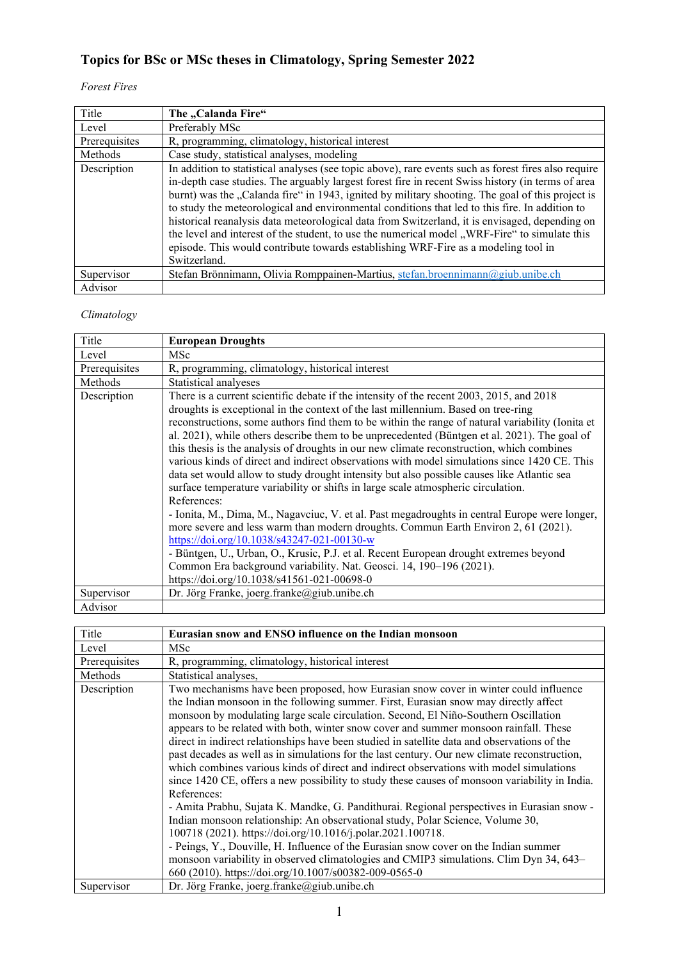# **Topics for BSc or MSc theses in Climatology, Spring Semester 2022**

## *Forest Fires*

| Title         | The "Calanda Fire"                                                                                                                                                                                                                                                                                                                                                                                                                                                                                                                                                                                                                                                                                                       |
|---------------|--------------------------------------------------------------------------------------------------------------------------------------------------------------------------------------------------------------------------------------------------------------------------------------------------------------------------------------------------------------------------------------------------------------------------------------------------------------------------------------------------------------------------------------------------------------------------------------------------------------------------------------------------------------------------------------------------------------------------|
| Level         | Preferably MSc                                                                                                                                                                                                                                                                                                                                                                                                                                                                                                                                                                                                                                                                                                           |
| Prerequisites | R, programming, climatology, historical interest                                                                                                                                                                                                                                                                                                                                                                                                                                                                                                                                                                                                                                                                         |
| Methods       | Case study, statistical analyses, modeling                                                                                                                                                                                                                                                                                                                                                                                                                                                                                                                                                                                                                                                                               |
| Description   | In addition to statistical analyses (see topic above), rare events such as forest fires also require<br>in-depth case studies. The arguably largest forest fire in recent Swiss history (in terms of area<br>burnt) was the "Calanda fire" in 1943, ignited by military shooting. The goal of this project is<br>to study the meteorological and environmental conditions that led to this fire. In addition to<br>historical reanalysis data meteorological data from Switzerland, it is envisaged, depending on<br>the level and interest of the student, to use the numerical model "WRF-Fire" to simulate this<br>episode. This would contribute towards establishing WRF-Fire as a modeling tool in<br>Switzerland. |
| Supervisor    | Stefan Brönnimann, Olivia Romppainen-Martius, stefan.broennimann@giub.unibe.ch                                                                                                                                                                                                                                                                                                                                                                                                                                                                                                                                                                                                                                           |
| Advisor       |                                                                                                                                                                                                                                                                                                                                                                                                                                                                                                                                                                                                                                                                                                                          |

### *Climatology*

| Title         | <b>European Droughts</b>                                                                                                                                                                                                                                                                                                                                                                                                                                                                                                                                                                                                                                                                                                                                                                                                                                                                                                                                                                                              |
|---------------|-----------------------------------------------------------------------------------------------------------------------------------------------------------------------------------------------------------------------------------------------------------------------------------------------------------------------------------------------------------------------------------------------------------------------------------------------------------------------------------------------------------------------------------------------------------------------------------------------------------------------------------------------------------------------------------------------------------------------------------------------------------------------------------------------------------------------------------------------------------------------------------------------------------------------------------------------------------------------------------------------------------------------|
| Level         | MSc                                                                                                                                                                                                                                                                                                                                                                                                                                                                                                                                                                                                                                                                                                                                                                                                                                                                                                                                                                                                                   |
| Prerequisites | R, programming, climatology, historical interest                                                                                                                                                                                                                                                                                                                                                                                                                                                                                                                                                                                                                                                                                                                                                                                                                                                                                                                                                                      |
| Methods       | Statistical analyeses                                                                                                                                                                                                                                                                                                                                                                                                                                                                                                                                                                                                                                                                                                                                                                                                                                                                                                                                                                                                 |
| Description   | There is a current scientific debate if the intensity of the recent 2003, 2015, and 2018<br>droughts is exceptional in the context of the last millennium. Based on tree-ring<br>reconstructions, some authors find them to be within the range of natural variability (Ionita et<br>al. 2021), while others describe them to be unprecedented (Büntgen et al. 2021). The goal of<br>this thesis is the analysis of droughts in our new climate reconstruction, which combines<br>various kinds of direct and indirect observations with model simulations since 1420 CE. This<br>data set would allow to study drought intensity but also possible causes like Atlantic sea<br>surface temperature variability or shifts in large scale atmospheric circulation.<br>References:<br>- Ionita, M., Dima, M., Nagavciuc, V. et al. Past megadroughts in central Europe were longer,<br>more severe and less warm than modern droughts. Commun Earth Environ 2, 61 (2021).<br>https://doi.org/10.1038/s43247-021-00130-w |
|               | - Büntgen, U., Urban, O., Krusic, P.J. et al. Recent European drought extremes beyond<br>Common Era background variability. Nat. Geosci. 14, 190-196 (2021).                                                                                                                                                                                                                                                                                                                                                                                                                                                                                                                                                                                                                                                                                                                                                                                                                                                          |
|               | https://doi.org/10.1038/s41561-021-00698-0                                                                                                                                                                                                                                                                                                                                                                                                                                                                                                                                                                                                                                                                                                                                                                                                                                                                                                                                                                            |
|               |                                                                                                                                                                                                                                                                                                                                                                                                                                                                                                                                                                                                                                                                                                                                                                                                                                                                                                                                                                                                                       |
| Supervisor    | Dr. Jörg Franke, joerg.franke@giub.unibe.ch                                                                                                                                                                                                                                                                                                                                                                                                                                                                                                                                                                                                                                                                                                                                                                                                                                                                                                                                                                           |
| Advisor       |                                                                                                                                                                                                                                                                                                                                                                                                                                                                                                                                                                                                                                                                                                                                                                                                                                                                                                                                                                                                                       |

| Level<br>MSc                                                                                                                                                                                                                                                                                                                                                                                                                                                                                                                                                                                                                                                                                                                                                                                                                                                                                                                                                                                                                                                                                                                                                                                                             |  |
|--------------------------------------------------------------------------------------------------------------------------------------------------------------------------------------------------------------------------------------------------------------------------------------------------------------------------------------------------------------------------------------------------------------------------------------------------------------------------------------------------------------------------------------------------------------------------------------------------------------------------------------------------------------------------------------------------------------------------------------------------------------------------------------------------------------------------------------------------------------------------------------------------------------------------------------------------------------------------------------------------------------------------------------------------------------------------------------------------------------------------------------------------------------------------------------------------------------------------|--|
| Prerequisites<br>R, programming, climatology, historical interest                                                                                                                                                                                                                                                                                                                                                                                                                                                                                                                                                                                                                                                                                                                                                                                                                                                                                                                                                                                                                                                                                                                                                        |  |
| Methods<br>Statistical analyses,                                                                                                                                                                                                                                                                                                                                                                                                                                                                                                                                                                                                                                                                                                                                                                                                                                                                                                                                                                                                                                                                                                                                                                                         |  |
| Two mechanisms have been proposed, how Eurasian snow cover in winter could influence<br>Description<br>the Indian monsoon in the following summer. First, Eurasian snow may directly affect<br>monsoon by modulating large scale circulation. Second, El Niño-Southern Oscillation<br>appears to be related with both, winter snow cover and summer monsoon rainfall. These<br>direct in indirect relationships have been studied in satellite data and observations of the<br>past decades as well as in simulations for the last century. Our new climate reconstruction,<br>which combines various kinds of direct and indirect observations with model simulations<br>since 1420 CE, offers a new possibility to study these causes of monsoon variability in India.<br>References:<br>- Amita Prabhu, Sujata K. Mandke, G. Pandithurai. Regional perspectives in Eurasian snow -<br>Indian monsoon relationship: An observational study, Polar Science, Volume 30,<br>100718 (2021). https://doi.org/10.1016/j.polar.2021.100718.<br>- Peings, Y., Douville, H. Influence of the Eurasian snow cover on the Indian summer<br>monsoon variability in observed climatologies and CMIP3 simulations. Clim Dyn 34, 643– |  |
| 660 (2010). https://doi.org/10.1007/s00382-009-0565-0<br>Dr. Jörg Franke, joerg.franke@giub.unibe.ch<br>Supervisor                                                                                                                                                                                                                                                                                                                                                                                                                                                                                                                                                                                                                                                                                                                                                                                                                                                                                                                                                                                                                                                                                                       |  |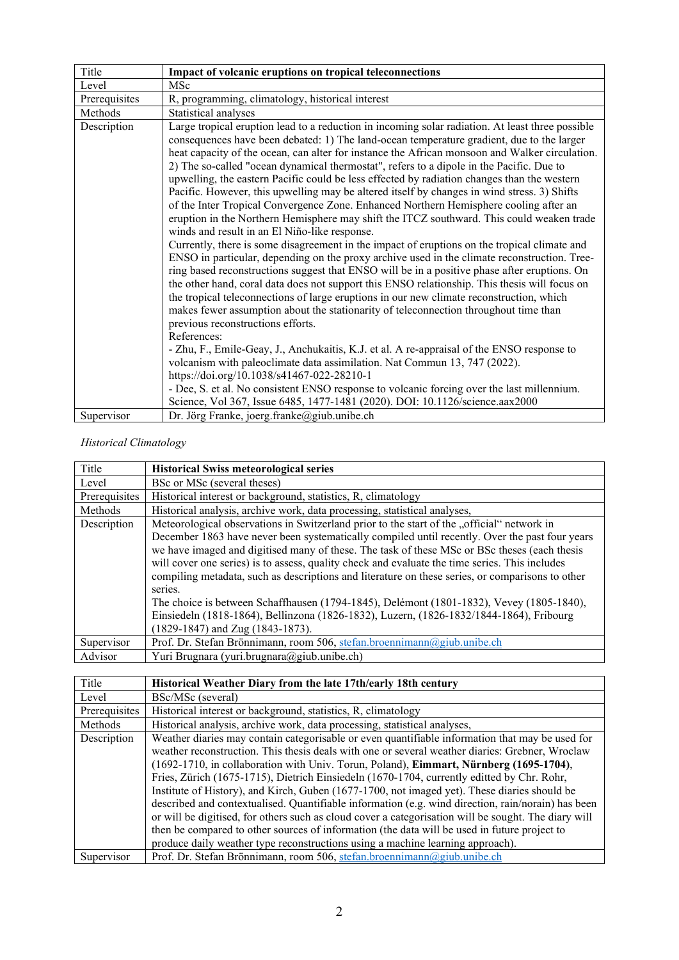| Title         | Impact of volcanic eruptions on tropical teleconnections                                                                                                                                                                                                                                                                                                                                                                                                                                                                                                                                                                                                                                                                                                                                                                                                                                                                                                                                                                                                                                                                                                                                                                                                                                                                                                                                                                                                                                                                                                                                                                                                                                                                                                                                                                                                                         |
|---------------|----------------------------------------------------------------------------------------------------------------------------------------------------------------------------------------------------------------------------------------------------------------------------------------------------------------------------------------------------------------------------------------------------------------------------------------------------------------------------------------------------------------------------------------------------------------------------------------------------------------------------------------------------------------------------------------------------------------------------------------------------------------------------------------------------------------------------------------------------------------------------------------------------------------------------------------------------------------------------------------------------------------------------------------------------------------------------------------------------------------------------------------------------------------------------------------------------------------------------------------------------------------------------------------------------------------------------------------------------------------------------------------------------------------------------------------------------------------------------------------------------------------------------------------------------------------------------------------------------------------------------------------------------------------------------------------------------------------------------------------------------------------------------------------------------------------------------------------------------------------------------------|
| Level         | MSc                                                                                                                                                                                                                                                                                                                                                                                                                                                                                                                                                                                                                                                                                                                                                                                                                                                                                                                                                                                                                                                                                                                                                                                                                                                                                                                                                                                                                                                                                                                                                                                                                                                                                                                                                                                                                                                                              |
| Prerequisites | R, programming, climatology, historical interest                                                                                                                                                                                                                                                                                                                                                                                                                                                                                                                                                                                                                                                                                                                                                                                                                                                                                                                                                                                                                                                                                                                                                                                                                                                                                                                                                                                                                                                                                                                                                                                                                                                                                                                                                                                                                                 |
| Methods       | Statistical analyses                                                                                                                                                                                                                                                                                                                                                                                                                                                                                                                                                                                                                                                                                                                                                                                                                                                                                                                                                                                                                                                                                                                                                                                                                                                                                                                                                                                                                                                                                                                                                                                                                                                                                                                                                                                                                                                             |
| Description   | Large tropical eruption lead to a reduction in incoming solar radiation. At least three possible<br>consequences have been debated: 1) The land-ocean temperature gradient, due to the larger<br>heat capacity of the ocean, can alter for instance the African monsoon and Walker circulation.<br>2) The so-called "ocean dynamical thermostat", refers to a dipole in the Pacific. Due to<br>upwelling, the eastern Pacific could be less effected by radiation changes than the western<br>Pacific. However, this upwelling may be altered itself by changes in wind stress. 3) Shifts<br>of the Inter Tropical Convergence Zone. Enhanced Northern Hemisphere cooling after an<br>eruption in the Northern Hemisphere may shift the ITCZ southward. This could weaken trade<br>winds and result in an El Niño-like response.<br>Currently, there is some disagreement in the impact of eruptions on the tropical climate and<br>ENSO in particular, depending on the proxy archive used in the climate reconstruction. Tree-<br>ring based reconstructions suggest that ENSO will be in a positive phase after eruptions. On<br>the other hand, coral data does not support this ENSO relationship. This thesis will focus on<br>the tropical teleconnections of large eruptions in our new climate reconstruction, which<br>makes fewer assumption about the stationarity of teleconnection throughout time than<br>previous reconstructions efforts.<br>References:<br>- Zhu, F., Emile-Geay, J., Anchukaitis, K.J. et al. A re-appraisal of the ENSO response to<br>volcanism with paleoclimate data assimilation. Nat Commun 13, 747 (2022).<br>https://doi.org/10.1038/s41467-022-28210-1<br>- Dee, S. et al. No consistent ENSO response to volcanic forcing over the last millennium.<br>Science, Vol 367, Issue 6485, 1477-1481 (2020). DOI: 10.1126/science.aax2000 |
| Supervisor    | Dr. Jörg Franke, joerg.franke@giub.unibe.ch                                                                                                                                                                                                                                                                                                                                                                                                                                                                                                                                                                                                                                                                                                                                                                                                                                                                                                                                                                                                                                                                                                                                                                                                                                                                                                                                                                                                                                                                                                                                                                                                                                                                                                                                                                                                                                      |

#### *Historical Climatology*

| Title         | <b>Historical Swiss meteorological series</b>                                                    |
|---------------|--------------------------------------------------------------------------------------------------|
| Level         | BSc or MSc (several theses)                                                                      |
| Prerequisites | Historical interest or background, statistics, R, climatology                                    |
| Methods       | Historical analysis, archive work, data processing, statistical analyses,                        |
| Description   | Meteorological observations in Switzerland prior to the start of the "official" network in       |
|               | December 1863 have never been systematically compiled until recently. Over the past four years   |
|               | we have imaged and digitised many of these. The task of these MSc or BSc theses (each thesis     |
|               | will cover one series) is to assess, quality check and evaluate the time series. This includes   |
|               | compiling metadata, such as descriptions and literature on these series, or comparisons to other |
|               | series.                                                                                          |
|               | The choice is between Schaffhausen (1794-1845), Delémont (1801-1832), Vevey (1805-1840),         |
|               | Einsiedeln (1818-1864), Bellinzona (1826-1832), Luzern, (1826-1832/1844-1864), Fribourg          |
|               | (1829-1847) and Zug (1843-1873).                                                                 |
| Supervisor    | Prof. Dr. Stefan Brönnimann, room 506, stefan.broennimann@giub.unibe.ch                          |
| Advisor       | Yuri Brugnara (yuri.brugnara@giub.unibe.ch)                                                      |

| Title         | Historical Weather Diary from the late 17th/early 18th century                                                                                                                                                                                                                                                                                                                                                                                                                                                                                                                                                                                                                                                                                                                                                                                                                             |
|---------------|--------------------------------------------------------------------------------------------------------------------------------------------------------------------------------------------------------------------------------------------------------------------------------------------------------------------------------------------------------------------------------------------------------------------------------------------------------------------------------------------------------------------------------------------------------------------------------------------------------------------------------------------------------------------------------------------------------------------------------------------------------------------------------------------------------------------------------------------------------------------------------------------|
| Level         | BSc/MSc (several)                                                                                                                                                                                                                                                                                                                                                                                                                                                                                                                                                                                                                                                                                                                                                                                                                                                                          |
| Prerequisites | Historical interest or background, statistics, R, climatology                                                                                                                                                                                                                                                                                                                                                                                                                                                                                                                                                                                                                                                                                                                                                                                                                              |
| Methods       | Historical analysis, archive work, data processing, statistical analyses,                                                                                                                                                                                                                                                                                                                                                                                                                                                                                                                                                                                                                                                                                                                                                                                                                  |
| Description   | Weather diaries may contain categorisable or even quantifiable information that may be used for<br>weather reconstruction. This thesis deals with one or several weather diaries: Grebner, Wroclaw<br>(1692-1710, in collaboration with Univ. Torun, Poland), Eimmart, Nürnberg (1695-1704),<br>Fries, Zürich (1675-1715), Dietrich Einsiedeln (1670-1704, currently editted by Chr. Rohr,<br>Institute of History), and Kirch, Guben (1677-1700, not imaged yet). These diaries should be<br>described and contextualised. Quantifiable information (e.g. wind direction, rain/norain) has been<br>or will be digitised, for others such as cloud cover a categorisation will be sought. The diary will<br>then be compared to other sources of information (the data will be used in future project to<br>produce daily weather type reconstructions using a machine learning approach). |
| Supervisor    | Prof. Dr. Stefan Brönnimann, room 506, stefan.broennimann@giub.unibe.ch                                                                                                                                                                                                                                                                                                                                                                                                                                                                                                                                                                                                                                                                                                                                                                                                                    |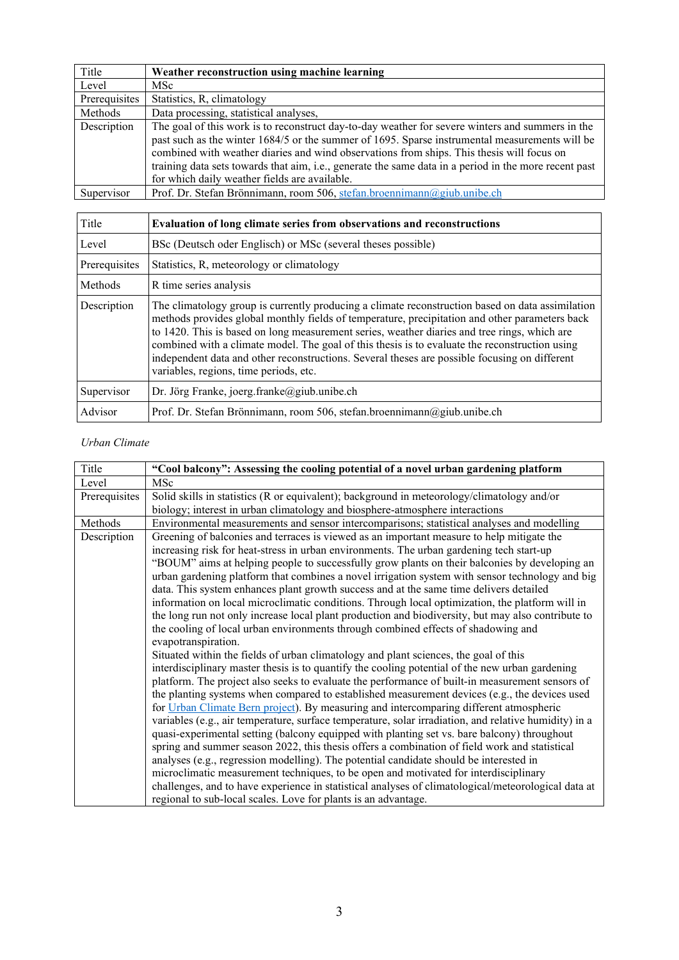| Title         | Weather reconstruction using machine learning                                                                                                                                                                                                                                                                                                                                                                                                             |
|---------------|-----------------------------------------------------------------------------------------------------------------------------------------------------------------------------------------------------------------------------------------------------------------------------------------------------------------------------------------------------------------------------------------------------------------------------------------------------------|
| Level         | MSc                                                                                                                                                                                                                                                                                                                                                                                                                                                       |
| Prerequisites | Statistics, R, climatology                                                                                                                                                                                                                                                                                                                                                                                                                                |
| Methods       | Data processing, statistical analyses,                                                                                                                                                                                                                                                                                                                                                                                                                    |
| Description   | The goal of this work is to reconstruct day-to-day weather for severe winters and summers in the<br>past such as the winter 1684/5 or the summer of 1695. Sparse instrumental measurements will be<br>combined with weather diaries and wind observations from ships. This thesis will focus on<br>training data sets towards that aim, i.e., generate the same data in a period in the more recent past<br>for which daily weather fields are available. |
| Supervisor    | Prof. Dr. Stefan Brönnimann, room 506, stefan.broennimann@giub.unibe.ch                                                                                                                                                                                                                                                                                                                                                                                   |

| Title         | Evaluation of long climate series from observations and reconstructions                                                                                                                                                                                                                                                                                                                                                                                                                                                                         |
|---------------|-------------------------------------------------------------------------------------------------------------------------------------------------------------------------------------------------------------------------------------------------------------------------------------------------------------------------------------------------------------------------------------------------------------------------------------------------------------------------------------------------------------------------------------------------|
| Level         | BSc (Deutsch oder Englisch) or MSc (several theses possible)                                                                                                                                                                                                                                                                                                                                                                                                                                                                                    |
| Prerequisites | Statistics, R, meteorology or climatology                                                                                                                                                                                                                                                                                                                                                                                                                                                                                                       |
| Methods       | R time series analysis                                                                                                                                                                                                                                                                                                                                                                                                                                                                                                                          |
| Description   | The climatology group is currently producing a climate reconstruction based on data assimilation<br>methods provides global monthly fields of temperature, precipitation and other parameters back<br>to 1420. This is based on long measurement series, weather diaries and tree rings, which are<br>combined with a climate model. The goal of this thesis is to evaluate the reconstruction using<br>independent data and other reconstructions. Several theses are possible focusing on different<br>variables, regions, time periods, etc. |
| Supervisor    | Dr. Jörg Franke, joerg.franke@giub.unibe.ch                                                                                                                                                                                                                                                                                                                                                                                                                                                                                                     |
| Advisor       | Prof. Dr. Stefan Brönnimann, room 506, stefan.broennimann@giub.unibe.ch                                                                                                                                                                                                                                                                                                                                                                                                                                                                         |

#### *Urban Climate*

| Title         | "Cool balcony": Assessing the cooling potential of a novel urban gardening platform                   |
|---------------|-------------------------------------------------------------------------------------------------------|
| Level         | MSc                                                                                                   |
| Prerequisites | Solid skills in statistics (R or equivalent); background in meteorology/climatology and/or            |
|               | biology; interest in urban climatology and biosphere-atmosphere interactions                          |
| Methods       | Environmental measurements and sensor intercomparisons; statistical analyses and modelling            |
| Description   | Greening of balconies and terraces is viewed as an important measure to help mitigate the             |
|               | increasing risk for heat-stress in urban environments. The urban gardening tech start-up              |
|               | "BOUM" aims at helping people to successfully grow plants on their balconies by developing an         |
|               | urban gardening platform that combines a novel irrigation system with sensor technology and big       |
|               | data. This system enhances plant growth success and at the same time delivers detailed                |
|               | information on local microclimatic conditions. Through local optimization, the platform will in       |
|               | the long run not only increase local plant production and biodiversity, but may also contribute to    |
|               | the cooling of local urban environments through combined effects of shadowing and                     |
|               | evapotranspiration.                                                                                   |
|               | Situated within the fields of urban climatology and plant sciences, the goal of this                  |
|               | interdisciplinary master thesis is to quantify the cooling potential of the new urban gardening       |
|               | platform. The project also seeks to evaluate the performance of built-in measurement sensors of       |
|               | the planting systems when compared to established measurement devices (e.g., the devices used         |
|               | for Urban Climate Bern project). By measuring and intercomparing different atmospheric                |
|               | variables (e.g., air temperature, surface temperature, solar irradiation, and relative humidity) in a |
|               | quasi-experimental setting (balcony equipped with planting set vs. bare balcony) throughout           |
|               | spring and summer season 2022, this thesis offers a combination of field work and statistical         |
|               | analyses (e.g., regression modelling). The potential candidate should be interested in                |
|               | microclimatic measurement techniques, to be open and motivated for interdisciplinary                  |
|               | challenges, and to have experience in statistical analyses of climatological/meteorological data at   |
|               | regional to sub-local scales. Love for plants is an advantage.                                        |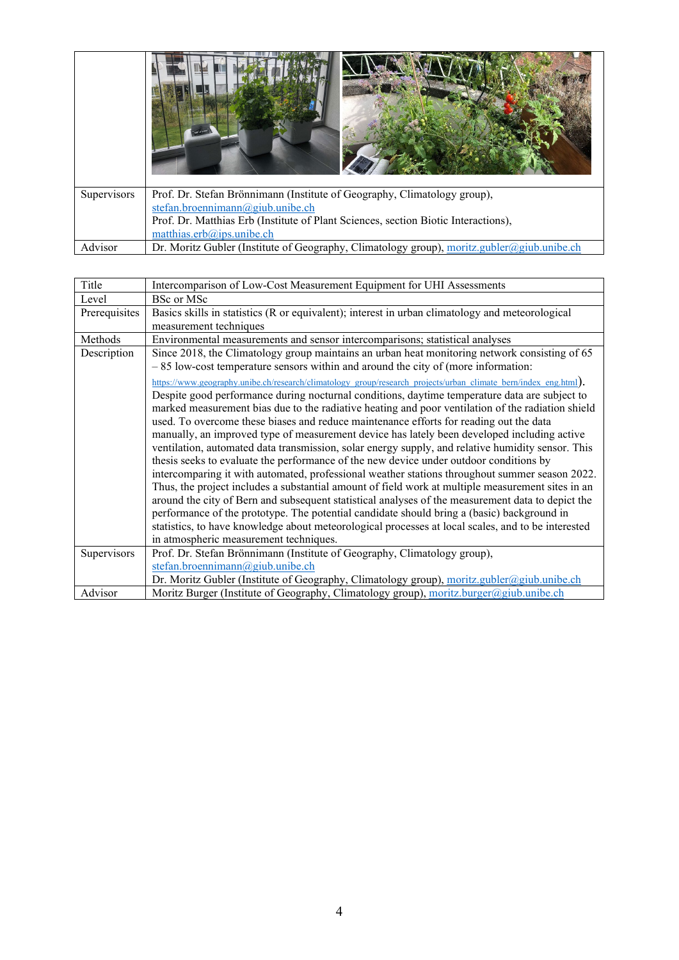| Supervisors | Prof. Dr. Stefan Brönnimann (Institute of Geography, Climatology group),                   |
|-------------|--------------------------------------------------------------------------------------------|
|             | stefan.broennimann@giub.unibe.ch                                                           |
|             | Prof. Dr. Matthias Erb (Institute of Plant Sciences, section Biotic Interactions),         |
|             | matthias.erb@ips.unibe.ch                                                                  |
| Advisor     | Dr. Moritz Gubler (Institute of Geography, Climatology group), moritz.gubler@giub.unibe.ch |

| Title         | Intercomparison of Low-Cost Measurement Equipment for UHI Assessments                                           |
|---------------|-----------------------------------------------------------------------------------------------------------------|
| Level         | <b>BSc or MSc</b>                                                                                               |
| Prerequisites | Basics skills in statistics (R or equivalent); interest in urban climatology and meteorological                 |
|               | measurement techniques                                                                                          |
| Methods       | Environmental measurements and sensor intercomparisons; statistical analyses                                    |
| Description   | Since 2018, the Climatology group maintains an urban heat monitoring network consisting of 65                   |
|               | $-85$ low-cost temperature sensors within and around the city of (more information:                             |
|               | https://www.geography.unibe.ch/research/climatology_group/research_projects/urban_climate_bern/index_eng.html]. |
|               | Despite good performance during nocturnal conditions, daytime temperature data are subject to                   |
|               | marked measurement bias due to the radiative heating and poor ventilation of the radiation shield               |
|               | used. To overcome these biases and reduce maintenance efforts for reading out the data                          |
|               | manually, an improved type of measurement device has lately been developed including active                     |
|               | ventilation, automated data transmission, solar energy supply, and relative humidity sensor. This               |
|               | thesis seeks to evaluate the performance of the new device under outdoor conditions by                          |
|               | intercomparing it with automated, professional weather stations throughout summer season 2022.                  |
|               | Thus, the project includes a substantial amount of field work at multiple measurement sites in an               |
|               | around the city of Bern and subsequent statistical analyses of the measurement data to depict the               |
|               | performance of the prototype. The potential candidate should bring a (basic) background in                      |
|               | statistics, to have knowledge about meteorological processes at local scales, and to be interested              |
|               | in atmospheric measurement techniques.                                                                          |
| Supervisors   | Prof. Dr. Stefan Brönnimann (Institute of Geography, Climatology group),                                        |
|               | stefan.broennimann@giub.unibe.ch                                                                                |
|               | Dr. Moritz Gubler (Institute of Geography, Climatology group), moritz.gubler@giub.unibe.ch                      |
| Advisor       | Moritz Burger (Institute of Geography, Climatology group), moritz.burger@giub.unibe.ch                          |